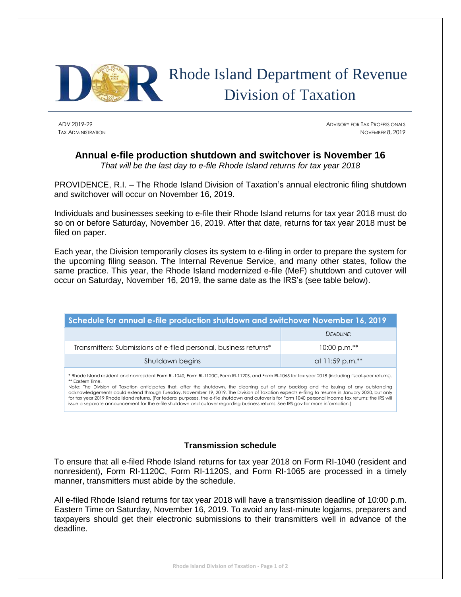

## Rhode Island Department of Revenue Division of Taxation

ADV 2019-29 ADVISORY FOR TAX PROFESSIONALS TAX ADMINISTRATION NOVEMBER 8, 2019

## **Annual e-file production shutdown and switchover is November 16**

*That will be the last day to e-file Rhode Island returns for tax year 2018*

PROVIDENCE, R.I. – The Rhode Island Division of Taxation's annual electronic filing shutdown and switchover will occur on November 16, 2019.

Individuals and businesses seeking to e-file their Rhode Island returns for tax year 2018 must do so on or before Saturday, November 16, 2019. After that date, returns for tax year 2018 must be filed on paper.

Each year, the Division temporarily closes its system to e-filing in order to prepare the system for the upcoming filing season. The Internal Revenue Service, and many other states, follow the same practice. This year, the Rhode Island modernized e-file (MeF) shutdown and cutover will occur on Saturday, November 16, 2019, the same date as the IRS's (see table below).

| Schedule for annual e-file production shutdown and switchover November 16, 2019 |                 |
|---------------------------------------------------------------------------------|-----------------|
|                                                                                 | DEADLINE:       |
| Transmitters: Submissions of e-filed personal, business returns*                | $10:00$ p.m.**  |
| Shutdown begins                                                                 | at 11:59 p.m.** |
|                                                                                 |                 |

\* Rhode Island resident and nonresident Form RI-1040, Form RI-1120C, Form RI-1120S, and Form RI-1065 for tax year 2018 (including fiscal-year returns). \*\* Eastern Time.

Note: The Division of Taxation anticipates that, after the shutdown, the cleaning out of any backlog and the issuing of any outstanding acknowledgements could extend through Tuesday, November 19, 2019. The Division of Taxation expects e-filing to resume in January 2020, but only for tax year 2019 Rhode Island returns. (For federal purposes, the e-file shutdown and cutover is for Form 1040 personal income tax returns; the IRS will issue a separate announcement for the e-file shutdown and cutover regarding business returns. See IRS.gov for more information.)

## **Transmission schedule**

To ensure that all e-filed Rhode Island returns for tax year 2018 on Form RI-1040 (resident and nonresident), Form RI-1120C, Form RI-1120S, and Form RI-1065 are processed in a timely manner, transmitters must abide by the schedule.

All e-filed Rhode Island returns for tax year 2018 will have a transmission deadline of 10:00 p.m. Eastern Time on Saturday, November 16, 2019. To avoid any last-minute logjams, preparers and taxpayers should get their electronic submissions to their transmitters well in advance of the deadline.